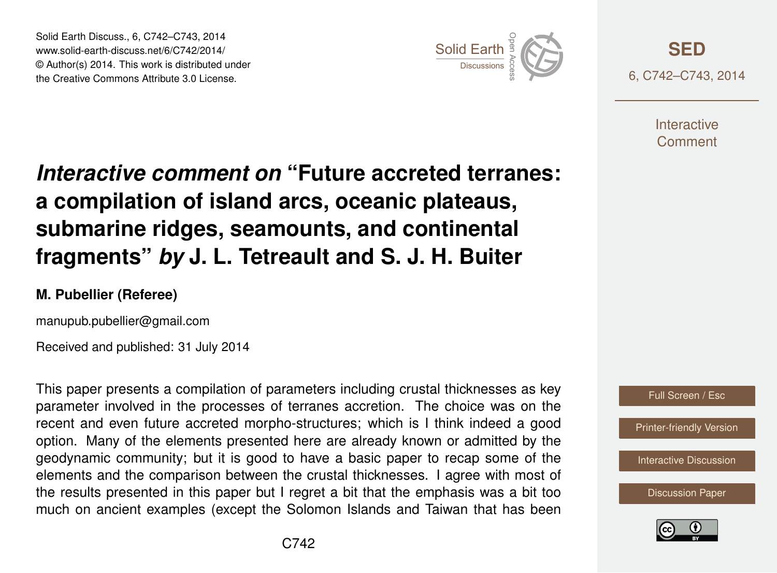Solid Earth Discuss., 6, C742–C743, 2014 www.solid-earth-discuss.net/6/C742/2014/ © Author(s) 2014. This work is distributed under Solid Earth Discuss., 6, C742–C743, 2014<br>www.solid-earth-discuss.net/6/C742/2014/<br>© Author(s) 2014. This work is distributed under<br>the Creative Commons Attribute 3.0 License.



**[SED](http://www.solid-earth-discuss.net)** 6, C742–C743, 2014

> **Interactive** Comment

## *Interactive comment on* **"Future accreted terranes: a compilation of island arcs, oceanic plateaus, submarine ridges, seamounts, and continental fragments"** *by* **J. L. Tetreault and S. J. H. Buiter**

## **M. Pubellier (Referee)**

manupub.pubellier@gmail.com

Received and published: 31 July 2014

This paper presents a compilation of parameters including crustal thicknesses as key parameter involved in the processes of terranes accretion. The choice was on the recent and even future accreted morpho-structures; which is I think indeed a good option. Many of the elements presented here are already known or admitted by the geodynamic community; but it is good to have a basic paper to recap some of the elements and the comparison between the crustal thicknesses. I agree with most of the results presented in this paper but I regret a bit that the emphasis was a bit too much on ancient examples (except the Solomon Islands and Taiwan that has been